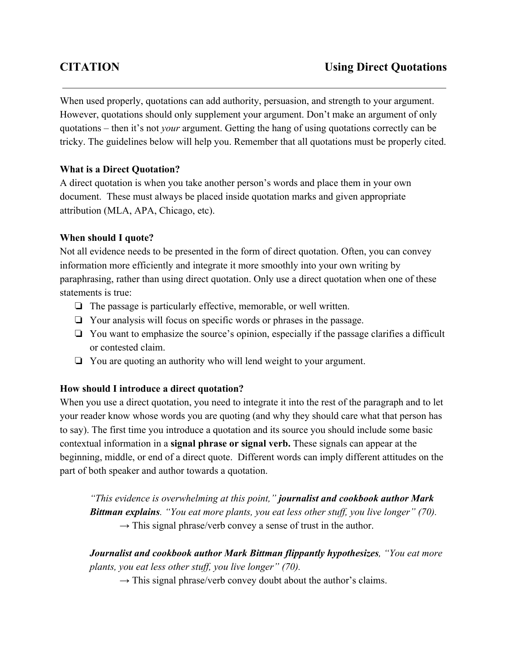When used properly, quotations can add authority, persuasion, and strength to your argument. However, quotations should only supplement your argument. Don't make an argument of only quotations – then it's not *your* argument. Getting the hang of using quotations correctly can be tricky. The guidelines below will help you. Remember that all quotations must be properly cited.

# **What is a Direct Quotation?**

A direct quotation is when you take another person's words and place them in your own document. These must always be placed inside quotation marks and given appropriate attribution (MLA, APA, Chicago, etc).

## **When should I quote?**

Not all evidence needs to be presented in the form of direct quotation. Often, you can convey information more efficiently and integrate it more smoothly into your own writing by paraphrasing, rather than using direct quotation. Only use a direct quotation when one of these statements is true:

- ❏ The passage is particularly effective, memorable, or well written.
- ❏ Your analysis will focus on specific words or phrases in the passage.
- ❏ You want to emphasize the source's opinion, especially if the passage clarifies a difficult or contested claim.
- ❏ You are quoting an authority who will lend weight to your argument.

## **How should I introduce a direct quotation?**

When you use a direct quotation, you need to integrate it into the rest of the paragraph and to let your reader know whose words you are quoting (and why they should care what that person has to say). The first time you introduce a quotation and its source you should include some basic contextual information in a **signal phrase or signal verb.**These signals can appear at the beginning, middle, or end of a direct quote. Different words can imply different attitudes on the part of both speaker and author towards a quotation.

*"This evidence is overwhelming at this point," journalist and cookbook author Mark Bittman explains. "You eat more plants, you eat less other stuf , you live longer" (70).*  $\rightarrow$  This signal phrase/verb convey a sense of trust in the author.

*Journalist and cookbook author Mark Bittman flippantly hypothesizes, "You eat more plants, you eat less other stuf , you live longer" (70).*

 $\rightarrow$  This signal phrase/verb convey doubt about the author's claims.